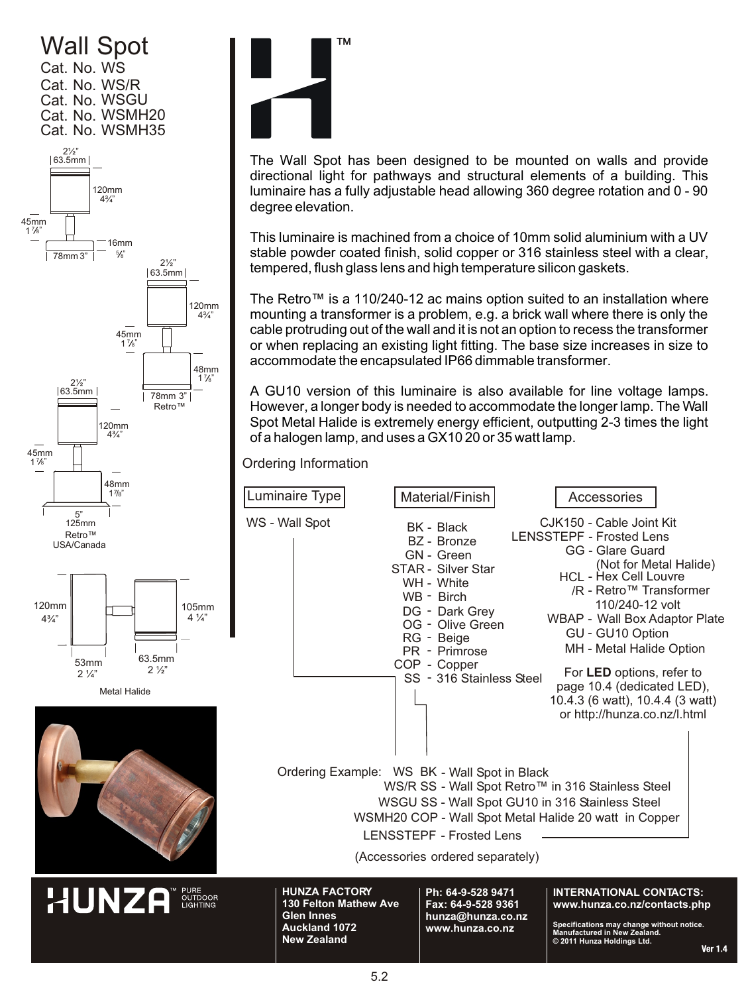## Wall Spot Cat. No. WS Cat. No. WS/R 120mm 63.5mm 2½" 4¾ " 16mm 45mm 1 7 8" Cat. No. WSGU Cat. No. WSMH20 Cat. No. WSMH35









The Wall Spot has been designed to be mounted on walls and provide directional light for pathways and structural elements of a building. This luminaire has a fully adjustable head allowing 360 degree rotation and 0 - 90 degree elevation.

This luminaire is machined from a choice of 10mm solid aluminium with a UV stable powder coated finish, solid copper or 316 stainless steel with a clear, tempered, flush glass lens and high temperature silicon gaskets.

The Retro™ is a 110/240-12 ac mains option suited to an installation where mounting a transformer is a problem, e.g. a brick wall where there is only the cable protruding out of the wall and it is not an option to recess the transformer or when replacing an existing light fitting. The base size increases in size to accommodate the encapsulated IP66 dimmable transformer.

A GU10 version of this luminaire is also available for line voltage lamps. However, a longer body is needed to accommodate the longer lamp. The Wall Spot Metal Halide is extremely energy efficient, outputting 2-3 times the light of a halogen lamp, and uses a GX10 20 or 35 watt lamp.

Ordering Information